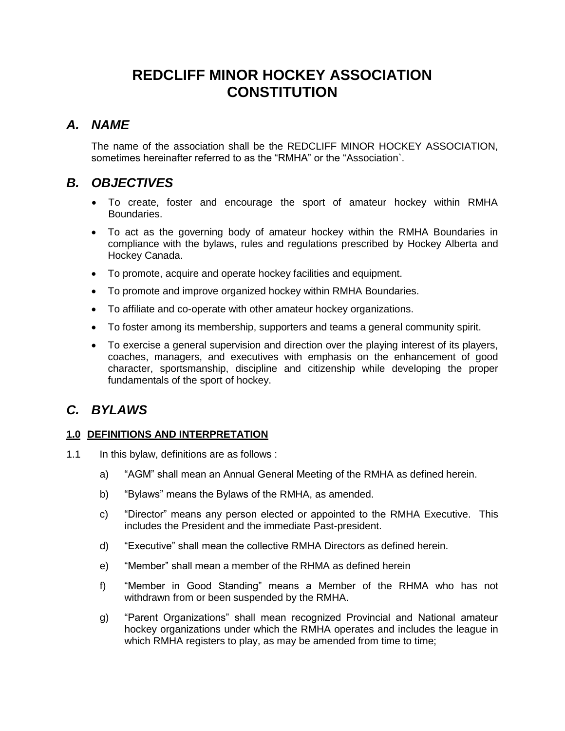# **REDCLIFF MINOR HOCKEY ASSOCIATION CONSTITUTION**

# *A. NAME*

The name of the association shall be the REDCLIFF MINOR HOCKEY ASSOCIATION, sometimes hereinafter referred to as the "RMHA" or the "Association`.

# *B. OBJECTIVES*

- To create, foster and encourage the sport of amateur hockey within RMHA Boundaries.
- To act as the governing body of amateur hockey within the RMHA Boundaries in compliance with the bylaws, rules and regulations prescribed by Hockey Alberta and Hockey Canada.
- To promote, acquire and operate hockey facilities and equipment.
- To promote and improve organized hockey within RMHA Boundaries.
- To affiliate and co-operate with other amateur hockey organizations.
- To foster among its membership, supporters and teams a general community spirit.
- To exercise a general supervision and direction over the playing interest of its players, coaches, managers, and executives with emphasis on the enhancement of good character, sportsmanship, discipline and citizenship while developing the proper fundamentals of the sport of hockey.

# *C. BYLAWS*

# **1.0 DEFINITIONS AND INTERPRETATION**

- 1.1 In this bylaw, definitions are as follows :
	- a) "AGM" shall mean an Annual General Meeting of the RMHA as defined herein.
	- b) "Bylaws" means the Bylaws of the RMHA, as amended.
	- c) "Director" means any person elected or appointed to the RMHA Executive. This includes the President and the immediate Past-president.
	- d) "Executive" shall mean the collective RMHA Directors as defined herein.
	- e) "Member" shall mean a member of the RHMA as defined herein
	- f) "Member in Good Standing" means a Member of the RHMA who has not withdrawn from or been suspended by the RMHA.
	- g) "Parent Organizations" shall mean recognized Provincial and National amateur hockey organizations under which the RMHA operates and includes the league in which RMHA registers to play, as may be amended from time to time: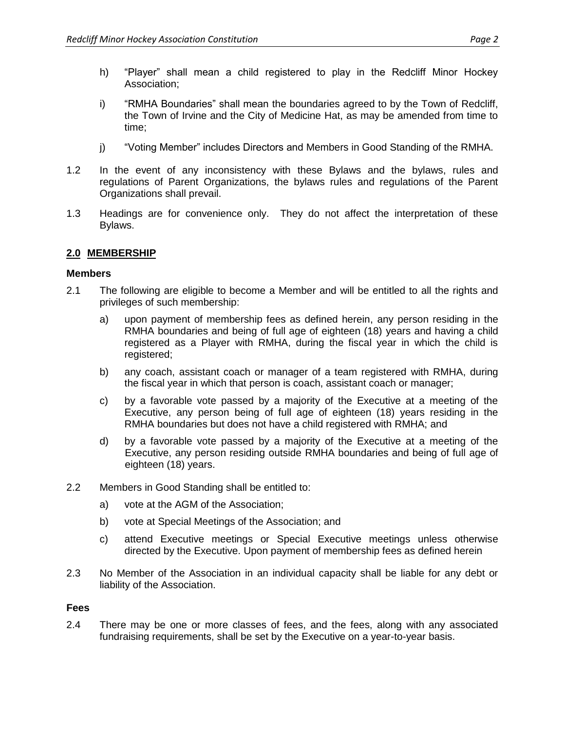- h) "Player" shall mean a child registered to play in the Redcliff Minor Hockey Association;
- i) "RMHA Boundaries" shall mean the boundaries agreed to by the Town of Redcliff, the Town of Irvine and the City of Medicine Hat, as may be amended from time to time;
- j) "Voting Member" includes Directors and Members in Good Standing of the RMHA.
- 1.2 In the event of any inconsistency with these Bylaws and the bylaws, rules and regulations of Parent Organizations, the bylaws rules and regulations of the Parent Organizations shall prevail.
- 1.3 Headings are for convenience only. They do not affect the interpretation of these Bylaws.

# **2.0 MEMBERSHIP**

## **Members**

- 2.1 The following are eligible to become a Member and will be entitled to all the rights and privileges of such membership:
	- a) upon payment of membership fees as defined herein, any person residing in the RMHA boundaries and being of full age of eighteen (18) years and having a child registered as a Player with RMHA, during the fiscal year in which the child is registered;
	- b) any coach, assistant coach or manager of a team registered with RMHA, during the fiscal year in which that person is coach, assistant coach or manager;
	- c) by a favorable vote passed by a majority of the Executive at a meeting of the Executive, any person being of full age of eighteen (18) years residing in the RMHA boundaries but does not have a child registered with RMHA; and
	- d) by a favorable vote passed by a majority of the Executive at a meeting of the Executive, any person residing outside RMHA boundaries and being of full age of eighteen (18) years.
- 2.2 Members in Good Standing shall be entitled to:
	- a) vote at the AGM of the Association;
	- b) vote at Special Meetings of the Association; and
	- c) attend Executive meetings or Special Executive meetings unless otherwise directed by the Executive. Upon payment of membership fees as defined herein
- 2.3 No Member of the Association in an individual capacity shall be liable for any debt or liability of the Association.

#### **Fees**

2.4 There may be one or more classes of fees, and the fees, along with any associated fundraising requirements, shall be set by the Executive on a year-to-year basis.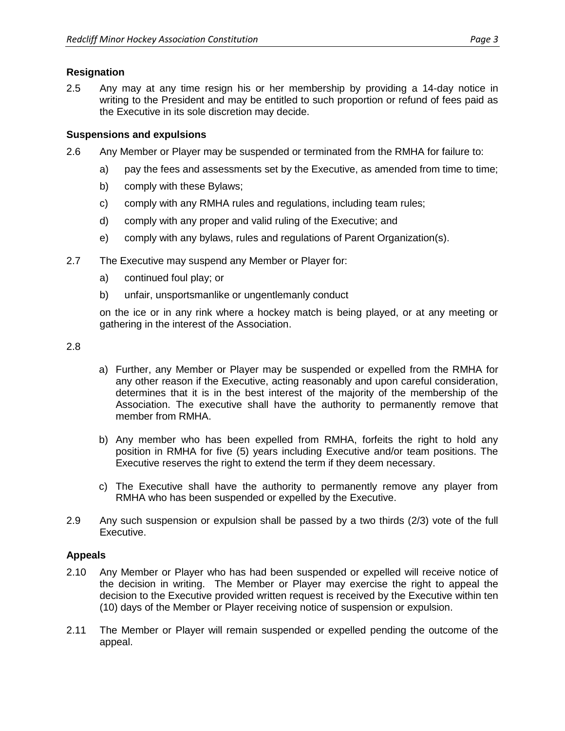## **Resignation**

2.5 Any may at any time resign his or her membership by providing a 14-day notice in writing to the President and may be entitled to such proportion or refund of fees paid as the Executive in its sole discretion may decide.

## **Suspensions and expulsions**

- 2.6 Any Member or Player may be suspended or terminated from the RMHA for failure to:
	- a) pay the fees and assessments set by the Executive, as amended from time to time;
	- b) comply with these Bylaws;
	- c) comply with any RMHA rules and regulations, including team rules;
	- d) comply with any proper and valid ruling of the Executive; and
	- e) comply with any bylaws, rules and regulations of Parent Organization(s).
- 2.7 The Executive may suspend any Member or Player for:
	- a) continued foul play; or
	- b) unfair, unsportsmanlike or ungentlemanly conduct

on the ice or in any rink where a hockey match is being played, or at any meeting or gathering in the interest of the Association.

2.8

- a) Further, any Member or Player may be suspended or expelled from the RMHA for any other reason if the Executive, acting reasonably and upon careful consideration, determines that it is in the best interest of the majority of the membership of the Association. The executive shall have the authority to permanently remove that member from RMHA.
- b) Any member who has been expelled from RMHA, forfeits the right to hold any position in RMHA for five (5) years including Executive and/or team positions. The Executive reserves the right to extend the term if they deem necessary.
- c) The Executive shall have the authority to permanently remove any player from RMHA who has been suspended or expelled by the Executive.
- 2.9 Any such suspension or expulsion shall be passed by a two thirds (2/3) vote of the full Executive.

## **Appeals**

- 2.10 Any Member or Player who has had been suspended or expelled will receive notice of the decision in writing. The Member or Player may exercise the right to appeal the decision to the Executive provided written request is received by the Executive within ten (10) days of the Member or Player receiving notice of suspension or expulsion.
- 2.11 The Member or Player will remain suspended or expelled pending the outcome of the appeal.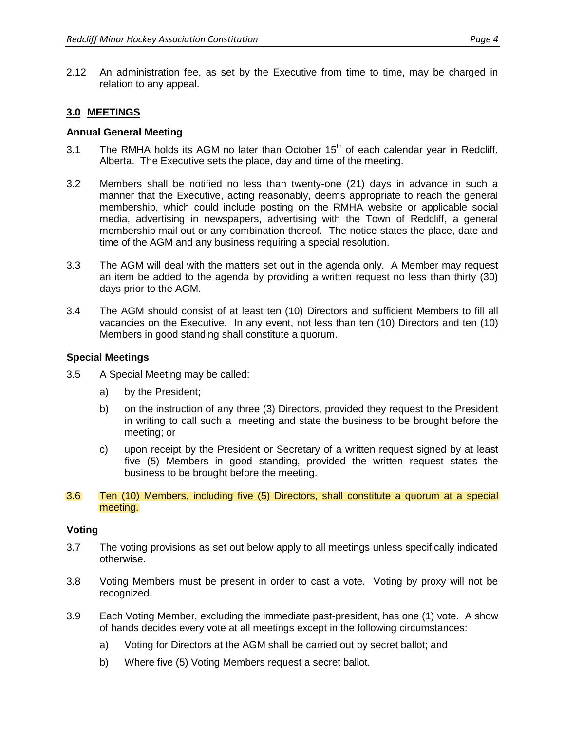2.12 An administration fee, as set by the Executive from time to time, may be charged in relation to any appeal.

## **3.0 MEETINGS**

#### **Annual General Meeting**

- 3.1 The RMHA holds its AGM no later than October  $15<sup>th</sup>$  of each calendar year in Redcliff, Alberta. The Executive sets the place, day and time of the meeting.
- 3.2 Members shall be notified no less than twenty-one (21) days in advance in such a manner that the Executive, acting reasonably, deems appropriate to reach the general membership, which could include posting on the RMHA website or applicable social media, advertising in newspapers, advertising with the Town of Redcliff, a general membership mail out or any combination thereof. The notice states the place, date and time of the AGM and any business requiring a special resolution.
- 3.3 The AGM will deal with the matters set out in the agenda only. A Member may request an item be added to the agenda by providing a written request no less than thirty (30) days prior to the AGM.
- 3.4 The AGM should consist of at least ten (10) Directors and sufficient Members to fill all vacancies on the Executive. In any event, not less than ten (10) Directors and ten (10) Members in good standing shall constitute a quorum.

#### **Special Meetings**

- 3.5 A Special Meeting may be called:
	- a) by the President;
	- b) on the instruction of any three (3) Directors, provided they request to the President in writing to call such a meeting and state the business to be brought before the meeting; or
	- c) upon receipt by the President or Secretary of a written request signed by at least five (5) Members in good standing, provided the written request states the business to be brought before the meeting.
- 3.6 Ten (10) Members, including five (5) Directors, shall constitute a quorum at a special meeting.

#### **Voting**

- 3.7 The voting provisions as set out below apply to all meetings unless specifically indicated otherwise.
- 3.8 Voting Members must be present in order to cast a vote. Voting by proxy will not be recognized.
- 3.9 Each Voting Member, excluding the immediate past-president, has one (1) vote. A show of hands decides every vote at all meetings except in the following circumstances:
	- a) Voting for Directors at the AGM shall be carried out by secret ballot; and
	- b) Where five (5) Voting Members request a secret ballot.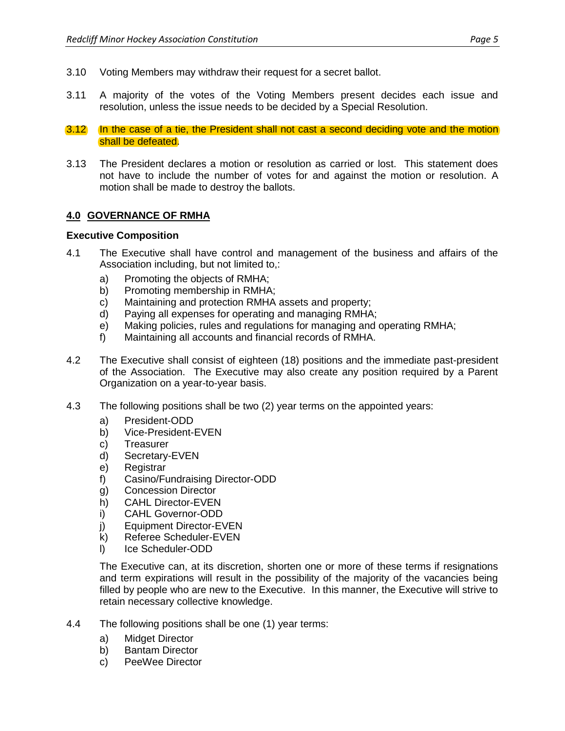- 3.10 Voting Members may withdraw their request for a secret ballot.
- 3.11 A majority of the votes of the Voting Members present decides each issue and resolution, unless the issue needs to be decided by a Special Resolution.
- 3.12 In the case of a tie, the President shall not cast a second deciding vote and the motion shall be defeated.
- 3.13 The President declares a motion or resolution as carried or lost. This statement does not have to include the number of votes for and against the motion or resolution. A motion shall be made to destroy the ballots.

## **4.0 GOVERNANCE OF RMHA**

#### **Executive Composition**

- 4.1 The Executive shall have control and management of the business and affairs of the Association including, but not limited to,:
	- a) Promoting the objects of RMHA;
	- b) Promoting membership in RMHA;
	- c) Maintaining and protection RMHA assets and property;
	- d) Paying all expenses for operating and managing RMHA;
	- e) Making policies, rules and regulations for managing and operating RMHA;
	- f) Maintaining all accounts and financial records of RMHA.
- 4.2 The Executive shall consist of eighteen (18) positions and the immediate past-president of the Association. The Executive may also create any position required by a Parent Organization on a year-to-year basis.
- 4.3 The following positions shall be two (2) year terms on the appointed years:
	- a) President-ODD
	- b) Vice-President-EVEN
	- c) Treasurer
	- d) Secretary-EVEN
	- e) Registrar
	- f) Casino/Fundraising Director-ODD
	- g) Concession Director
	- h) CAHL Director-EVEN
	- i) CAHL Governor-ODD
	- j) Equipment Director-EVEN
	- k) Referee Scheduler-EVEN
	- l) Ice Scheduler-ODD

The Executive can, at its discretion, shorten one or more of these terms if resignations and term expirations will result in the possibility of the majority of the vacancies being filled by people who are new to the Executive. In this manner, the Executive will strive to retain necessary collective knowledge.

- 4.4 The following positions shall be one (1) year terms:
	- a) Midget Director
	- b) Bantam Director
	- c) PeeWee Director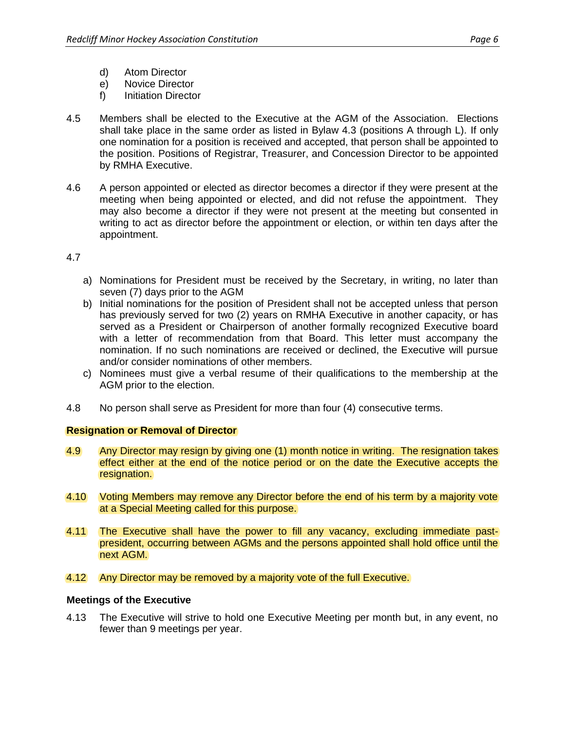- d) Atom Director
- e) Novice Director
- f) Initiation Director
- 4.5 Members shall be elected to the Executive at the AGM of the Association. Elections shall take place in the same order as listed in Bylaw 4.3 (positions A through L). If only one nomination for a position is received and accepted, that person shall be appointed to the position. Positions of Registrar, Treasurer, and Concession Director to be appointed by RMHA Executive.
- 4.6 A person appointed or elected as director becomes a director if they were present at the meeting when being appointed or elected, and did not refuse the appointment. They may also become a director if they were not present at the meeting but consented in writing to act as director before the appointment or election, or within ten days after the appointment.

#### 4.7

- a) Nominations for President must be received by the Secretary, in writing, no later than seven (7) days prior to the AGM
- b) Initial nominations for the position of President shall not be accepted unless that person has previously served for two (2) years on RMHA Executive in another capacity, or has served as a President or Chairperson of another formally recognized Executive board with a letter of recommendation from that Board. This letter must accompany the nomination. If no such nominations are received or declined, the Executive will pursue and/or consider nominations of other members.
- c) Nominees must give a verbal resume of their qualifications to the membership at the AGM prior to the election.
- 4.8 No person shall serve as President for more than four (4) consecutive terms.

## **Resignation or Removal of Director**

- 4.9 Any Director may resign by giving one (1) month notice in writing. The resignation takes effect either at the end of the notice period or on the date the Executive accepts the resignation.
- 4.10 Voting Members may remove any Director before the end of his term by a majority vote at a Special Meeting called for this purpose.
- 4.11 The Executive shall have the power to fill any vacancy, excluding immediate pastpresident, occurring between AGMs and the persons appointed shall hold office until the next AGM.
- 4.12 Any Director may be removed by a majority vote of the full Executive.

#### **Meetings of the Executive**

4.13 The Executive will strive to hold one Executive Meeting per month but, in any event, no fewer than 9 meetings per year.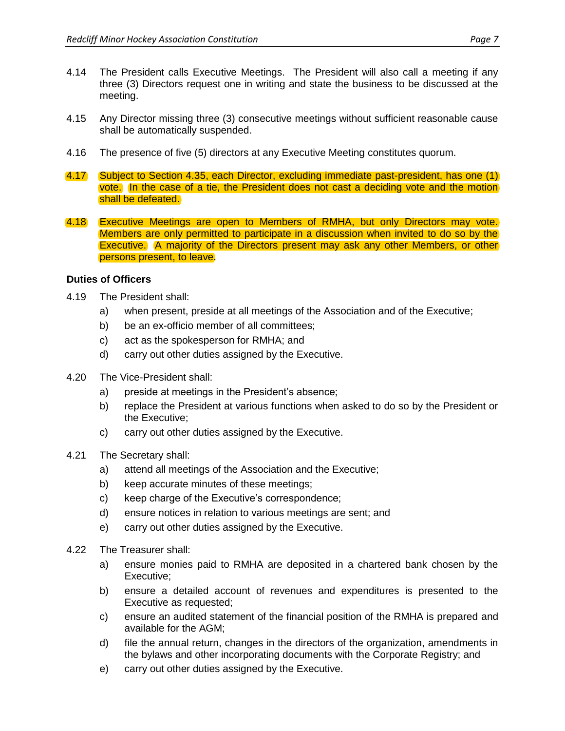- 4.14 The President calls Executive Meetings. The President will also call a meeting if any three (3) Directors request one in writing and state the business to be discussed at the meeting.
- 4.15 Any Director missing three (3) consecutive meetings without sufficient reasonable cause shall be automatically suspended.
- 4.16 The presence of five (5) directors at any Executive Meeting constitutes quorum.
- 4.17 Subject to Section 4.35, each Director, excluding immediate past-president, has one (1) vote. In the case of a tie, the President does not cast a deciding vote and the motion shall be defeated.
- 4.18 Executive Meetings are open to Members of RMHA, but only Directors may vote. Members are only permitted to participate in a discussion when invited to do so by the Executive. A majority of the Directors present may ask any other Members, or other persons present, to leave.

## **Duties of Officers**

- 4.19 The President shall:
	- a) when present, preside at all meetings of the Association and of the Executive;
	- b) be an ex-officio member of all committees;
	- c) act as the spokesperson for RMHA; and
	- d) carry out other duties assigned by the Executive.
- 4.20 The Vice-President shall:
	- a) preside at meetings in the President's absence;
	- b) replace the President at various functions when asked to do so by the President or the Executive;
	- c) carry out other duties assigned by the Executive.
- 4.21 The Secretary shall:
	- a) attend all meetings of the Association and the Executive;
	- b) keep accurate minutes of these meetings;
	- c) keep charge of the Executive's correspondence;
	- d) ensure notices in relation to various meetings are sent; and
	- e) carry out other duties assigned by the Executive.
- 4.22 The Treasurer shall:
	- a) ensure monies paid to RMHA are deposited in a chartered bank chosen by the Executive;
	- b) ensure a detailed account of revenues and expenditures is presented to the Executive as requested;
	- c) ensure an audited statement of the financial position of the RMHA is prepared and available for the AGM;
	- d) file the annual return, changes in the directors of the organization, amendments in the bylaws and other incorporating documents with the Corporate Registry; and
	- e) carry out other duties assigned by the Executive.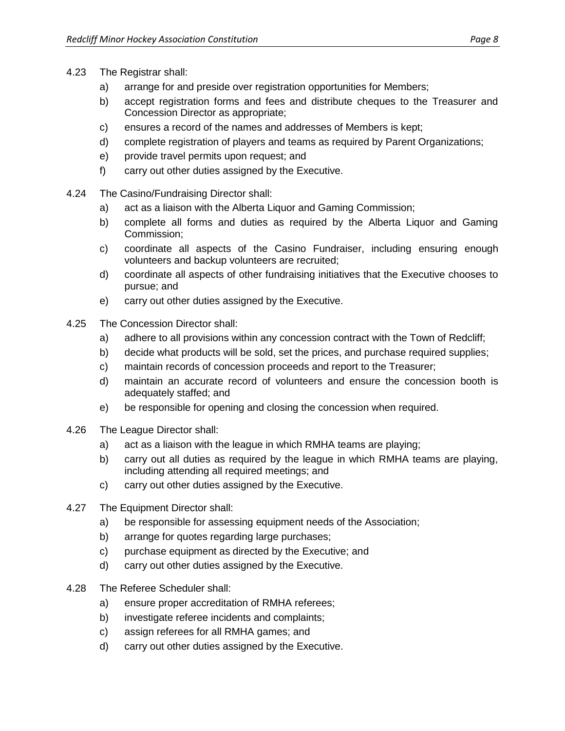- 4.23 The Registrar shall:
	- a) arrange for and preside over registration opportunities for Members;
	- b) accept registration forms and fees and distribute cheques to the Treasurer and Concession Director as appropriate;
	- c) ensures a record of the names and addresses of Members is kept;
	- d) complete registration of players and teams as required by Parent Organizations;
	- e) provide travel permits upon request; and
	- f) carry out other duties assigned by the Executive.
- 4.24 The Casino/Fundraising Director shall:
	- a) act as a liaison with the Alberta Liquor and Gaming Commission;
	- b) complete all forms and duties as required by the Alberta Liquor and Gaming Commission;
	- c) coordinate all aspects of the Casino Fundraiser, including ensuring enough volunteers and backup volunteers are recruited;
	- d) coordinate all aspects of other fundraising initiatives that the Executive chooses to pursue; and
	- e) carry out other duties assigned by the Executive.
- 4.25 The Concession Director shall:
	- a) adhere to all provisions within any concession contract with the Town of Redcliff;
	- b) decide what products will be sold, set the prices, and purchase required supplies;
	- c) maintain records of concession proceeds and report to the Treasurer;
	- d) maintain an accurate record of volunteers and ensure the concession booth is adequately staffed; and
	- e) be responsible for opening and closing the concession when required.
- 4.26 The League Director shall:
	- a) act as a liaison with the league in which RMHA teams are playing;
	- b) carry out all duties as required by the league in which RMHA teams are playing, including attending all required meetings; and
	- c) carry out other duties assigned by the Executive.
- 4.27 The Equipment Director shall:
	- a) be responsible for assessing equipment needs of the Association;
	- b) arrange for quotes regarding large purchases;
	- c) purchase equipment as directed by the Executive; and
	- d) carry out other duties assigned by the Executive.
- 4.28 The Referee Scheduler shall:
	- a) ensure proper accreditation of RMHA referees;
	- b) investigate referee incidents and complaints;
	- c) assign referees for all RMHA games; and
	- d) carry out other duties assigned by the Executive.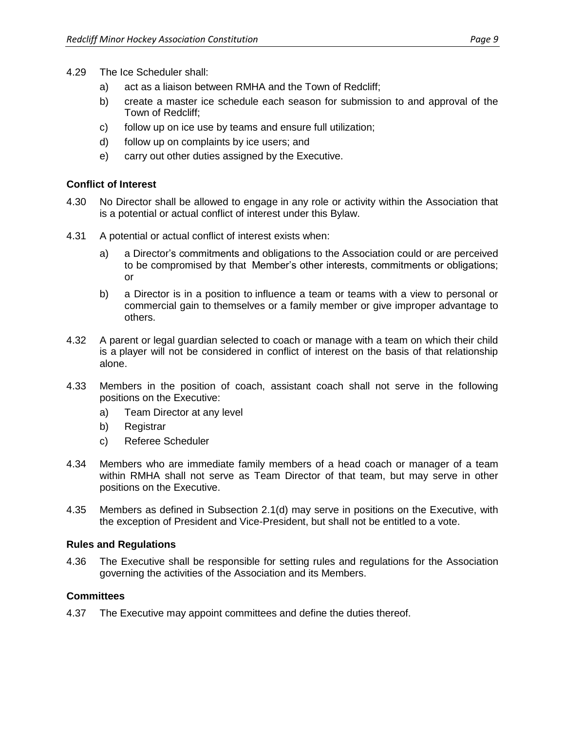- 4.29 The Ice Scheduler shall:
	- a) act as a liaison between RMHA and the Town of Redcliff;
	- b) create a master ice schedule each season for submission to and approval of the Town of Redcliff;
	- c) follow up on ice use by teams and ensure full utilization;
	- d) follow up on complaints by ice users; and
	- e) carry out other duties assigned by the Executive.

## **Conflict of Interest**

- 4.30 No Director shall be allowed to engage in any role or activity within the Association that is a potential or actual conflict of interest under this Bylaw.
- 4.31 A potential or actual conflict of interest exists when:
	- a) a Director's commitments and obligations to the Association could or are perceived to be compromised by that Member's other interests, commitments or obligations; or
	- b) a Director is in a position to influence a team or teams with a view to personal or commercial gain to themselves or a family member or give improper advantage to others.
- 4.32 A parent or legal guardian selected to coach or manage with a team on which their child is a player will not be considered in conflict of interest on the basis of that relationship alone.
- 4.33 Members in the position of coach, assistant coach shall not serve in the following positions on the Executive:
	- a) Team Director at any level
	- b) Registrar
	- c) Referee Scheduler
- 4.34 Members who are immediate family members of a head coach or manager of a team within RMHA shall not serve as Team Director of that team, but may serve in other positions on the Executive.
- 4.35 Members as defined in Subsection 2.1(d) may serve in positions on the Executive, with the exception of President and Vice-President, but shall not be entitled to a vote.

#### **Rules and Regulations**

4.36 The Executive shall be responsible for setting rules and regulations for the Association governing the activities of the Association and its Members.

#### **Committees**

4.37 The Executive may appoint committees and define the duties thereof.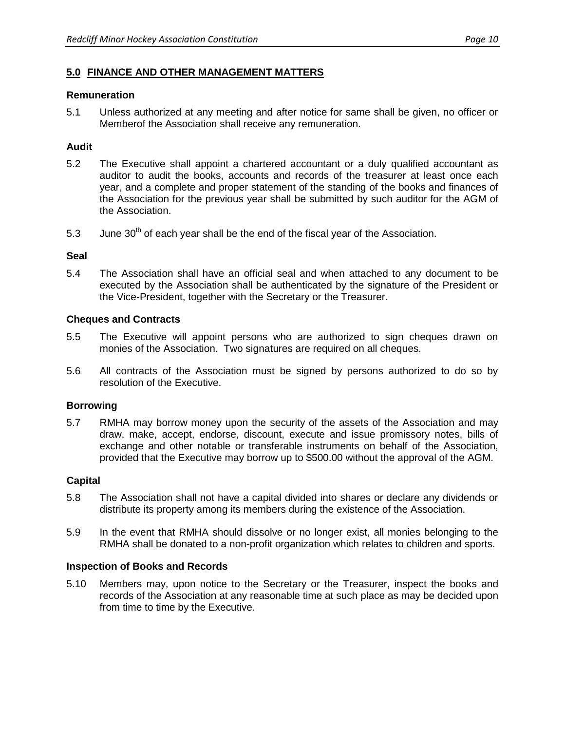## **5.0 FINANCE AND OTHER MANAGEMENT MATTERS**

#### **Remuneration**

5.1 Unless authorized at any meeting and after notice for same shall be given, no officer or Memberof the Association shall receive any remuneration.

## **Audit**

- 5.2 The Executive shall appoint a chartered accountant or a duly qualified accountant as auditor to audit the books, accounts and records of the treasurer at least once each year, and a complete and proper statement of the standing of the books and finances of the Association for the previous year shall be submitted by such auditor for the AGM of the Association.
- 5.3 June 30<sup>th</sup> of each year shall be the end of the fiscal year of the Association.

#### **Seal**

5.4 The Association shall have an official seal and when attached to any document to be executed by the Association shall be authenticated by the signature of the President or the Vice-President, together with the Secretary or the Treasurer.

#### **Cheques and Contracts**

- 5.5 The Executive will appoint persons who are authorized to sign cheques drawn on monies of the Association. Two signatures are required on all cheques.
- 5.6 All contracts of the Association must be signed by persons authorized to do so by resolution of the Executive.

## **Borrowing**

5.7 RMHA may borrow money upon the security of the assets of the Association and may draw, make, accept, endorse, discount, execute and issue promissory notes, bills of exchange and other notable or transferable instruments on behalf of the Association, provided that the Executive may borrow up to \$500.00 without the approval of the AGM.

#### **Capital**

- 5.8 The Association shall not have a capital divided into shares or declare any dividends or distribute its property among its members during the existence of the Association.
- 5.9 In the event that RMHA should dissolve or no longer exist, all monies belonging to the RMHA shall be donated to a non-profit organization which relates to children and sports.

## **Inspection of Books and Records**

5.10 Members may, upon notice to the Secretary or the Treasurer, inspect the books and records of the Association at any reasonable time at such place as may be decided upon from time to time by the Executive.